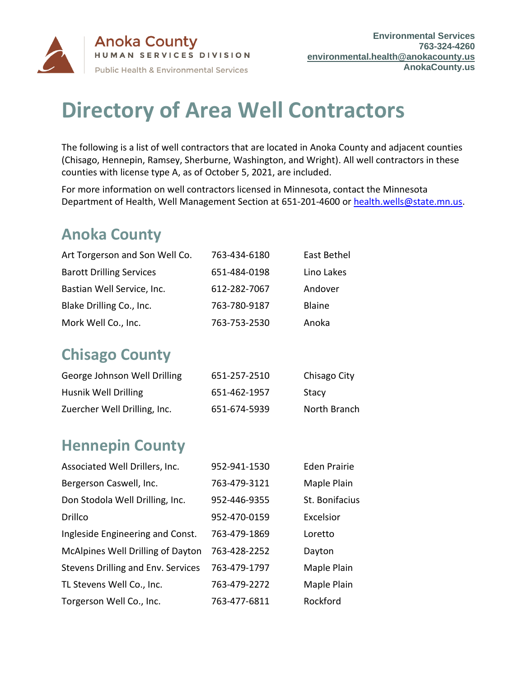

# **Directory of Area Well Contractors**

The following is a list of well contractors that are located in Anoka County and adjacent counties (Chisago, Hennepin, Ramsey, Sherburne, Washington, and Wright). All well contractors in these counties with license type A, as of October 5, 2021, are included.

For more information on well contractors licensed in Minnesota, contact the Minnesota Department of Health, Well Management Section at 651-201-4600 or [health.wells@state.mn.us.](mailto:health.wells@state.mn.us)

# **Anoka County**

| Art Torgerson and Son Well Co.  | 763-434-6180 | East Bethel   |
|---------------------------------|--------------|---------------|
| <b>Barott Drilling Services</b> | 651-484-0198 | Lino Lakes    |
| Bastian Well Service, Inc.      | 612-282-7067 | Andover       |
| Blake Drilling Co., Inc.        | 763-780-9187 | <b>Blaine</b> |
| Mork Well Co., Inc.             | 763-753-2530 | Anoka         |

# **Chisago County**

| George Johnson Well Drilling | 651-257-2510 | Chisago City |
|------------------------------|--------------|--------------|
| Husnik Well Drilling         | 651-462-1957 | Stacy        |
| Zuercher Well Drilling, Inc. | 651-674-5939 | North Branch |

# **Hennepin County**

| Associated Well Drillers, Inc.            | 952-941-1530 | <b>Eden Prairie</b> |
|-------------------------------------------|--------------|---------------------|
| Bergerson Caswell, Inc.                   | 763-479-3121 | Maple Plain         |
| Don Stodola Well Drilling, Inc.           | 952-446-9355 | St. Bonifacius      |
| Drillco                                   | 952-470-0159 | Excelsior           |
| Ingleside Engineering and Const.          | 763-479-1869 | Loretto             |
| McAlpines Well Drilling of Dayton         | 763-428-2252 | Dayton              |
| <b>Stevens Drilling and Env. Services</b> | 763-479-1797 | Maple Plain         |
| TL Stevens Well Co., Inc.                 | 763-479-2272 | Maple Plain         |
| Torgerson Well Co., Inc.                  | 763-477-6811 | Rockford            |